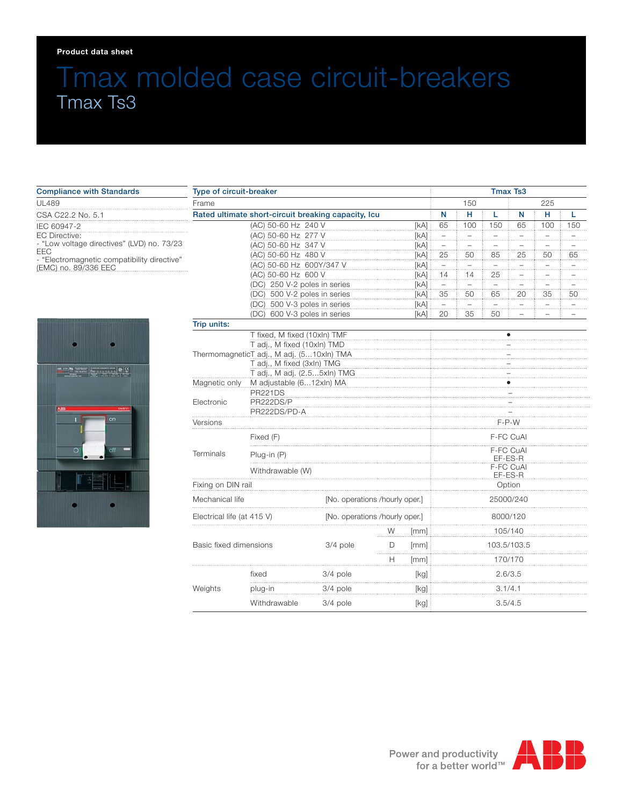#### **Product data sheet**

# Tmax molded case circuit-breakers Tmax Ts3

#### Compliance with Standards UL489 CSA C22.2 No. 5.1 IEC 60947-2 EC Directive: - "Low voltage directives" (LVD) no. 73/23 EEC - "Electromagnetic compatibility directive" (EMC) no. 89/336 EEC



| Type of circuit-breaker                                  |                                 |                                |                                |              |                          | <b>Tmax Ts3</b> |                |                               |     |     |  |  |
|----------------------------------------------------------|---------------------------------|--------------------------------|--------------------------------|--------------|--------------------------|-----------------|----------------|-------------------------------|-----|-----|--|--|
| Frame                                                    |                                 |                                |                                |              |                          | 150             |                | 225                           |     |     |  |  |
| Rated ultimate short-circuit breaking capacity, Icu      |                                 |                                |                                |              | N                        | н               | L              | N                             | н   | L   |  |  |
|                                                          | (AC) 50-60 Hz 240 V             |                                |                                | [kA]         | 65                       | 100             | 150            | 65                            | 100 | 150 |  |  |
|                                                          | (AC) 50-60 Hz 277 V             |                                |                                | [KA]         | $\overline{\phantom{0}}$ | $\overline{a}$  |                |                               |     |     |  |  |
| (AC) 50-60 Hz 347 V                                      |                                 |                                |                                | [kA]         |                          | .               | .              |                               |     |     |  |  |
| (AC) 50-60 Hz 480 V                                      |                                 |                                |                                | [kA]<br>[kA] | 25                       | 50              | 85             | 25                            | 50  | 65  |  |  |
|                                                          | (AC) 50-60 Hz 600Y/347 V        |                                |                                |              |                          | u.              |                | $\overline{a}$                |     |     |  |  |
|                                                          | (AC) 50-60 Hz 600 V             |                                |                                | [kA]         | 14                       | 14              | 25             |                               |     |     |  |  |
|                                                          | (DC) 250 V-2 poles in series    |                                |                                | [kA]         | $\pm$                    | $\pm$           |                |                               |     |     |  |  |
|                                                          | (DC) 500 V-2 poles in series    |                                |                                | [kA]<br>[kA] | 35                       | 50              | 65             | 20                            | 35  | 50  |  |  |
|                                                          | (DC) 500 V-3 poles in series    |                                |                                |              | $\overline{\phantom{0}}$ | $\overline{a}$  | $\overline{a}$ | $\overline{\phantom{0}}$<br>. |     |     |  |  |
| (DC) 600 V-3 poles in series<br>[kA]                     |                                 |                                |                                |              | 20                       | 35              | 50             |                               |     |     |  |  |
| Trip units:                                              |                                 |                                |                                |              |                          |                 |                |                               |     |     |  |  |
|                                                          | T fixed, M fixed (10xln) TMF    |                                |                                |              |                          |                 |                | $\bullet$                     |     |     |  |  |
|                                                          | T adj., M fixed (10xln) TMD     |                                |                                |              |                          |                 |                |                               |     |     |  |  |
| ThermomagneticT adj., M adj. (510xln) TMA                |                                 |                                |                                |              |                          |                 |                |                               |     |     |  |  |
|                                                          | T adj., M fixed (3xln) TMG      |                                |                                |              |                          |                 |                |                               |     |     |  |  |
| T adj., M adj. (2.55xln) TMG<br>M adjustable (612xln) MA |                                 |                                |                                |              |                          |                 |                |                               |     |     |  |  |
|                                                          | Magnetic only<br><b>PR221DS</b> |                                |                                |              |                          |                 |                |                               |     |     |  |  |
| Electronic                                               | PR222DS/P                       |                                |                                |              |                          |                 |                |                               |     |     |  |  |
|                                                          | PR222DS/PD-A                    |                                |                                |              |                          |                 |                |                               |     |     |  |  |
| Versions                                                 |                                 |                                |                                |              |                          | F-P-W           |                |                               |     |     |  |  |
|                                                          | Fixed (F)<br>.                  |                                |                                |              |                          |                 |                | F-FC CuAl                     |     |     |  |  |
| Terminals<br>Plug-in (P)                                 |                                 |                                |                                |              | F-FC CuAl<br>EF-ES-R     |                 |                |                               |     |     |  |  |
|                                                          | Withdrawable (W)                |                                |                                |              |                          | F-FC CuAl       |                |                               |     |     |  |  |
|                                                          |                                 |                                |                                |              | EF-ES-R                  |                 |                |                               |     |     |  |  |
| Fixing on DIN rail                                       |                                 |                                |                                |              | Option                   |                 |                |                               |     |     |  |  |
| Mechanical life                                          |                                 | [No. operations /hourly oper.] |                                |              | 25000/240                |                 |                |                               |     |     |  |  |
| Electrical life (at 415 V)                               |                                 |                                | [No. operations /hourly oper.] |              |                          | 8000/120        |                |                               |     |     |  |  |
|                                                          |                                 |                                | W                              | [mm]         |                          |                 |                | 105/140                       |     |     |  |  |
| Basic fixed dimensions                                   |                                 | 3/4 pole                       | D                              | [mm]         |                          |                 |                | 103.5/103.5                   |     |     |  |  |
|                                                          |                                 |                                | Н                              | [mm]         |                          |                 |                | 170/170                       |     |     |  |  |
|                                                          | fixed                           | 3/4 pole                       |                                | [kg]         |                          |                 |                | 2.6/3.5                       |     |     |  |  |
| Weights                                                  | plug-in                         | 3/4 pole                       |                                | [kg]         |                          |                 | 3.1/4.1        |                               |     |     |  |  |
|                                                          | Withdrawable                    | 3/4 pole                       |                                | [kg]         |                          |                 |                | 3.5/4.5                       |     |     |  |  |

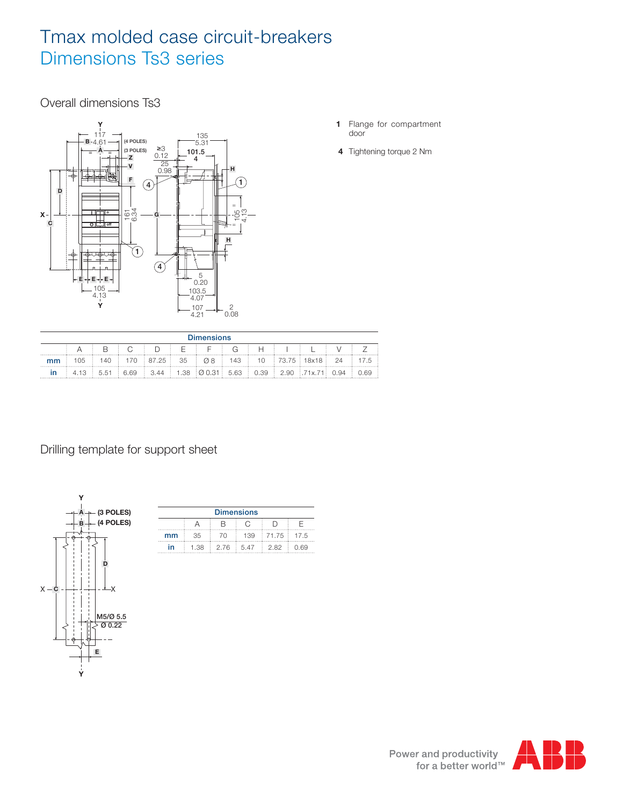# Tmax molded case circuit-breakers Dimensions Ts3 series

Overall dimensions Ts3



- **1** Flange for compartment door
- **4** Tightening torque 2 Nm

| <b>Dimensions</b> |  |  |  |  |  |  |  |  |  |                                                                                                                                        |  |  |
|-------------------|--|--|--|--|--|--|--|--|--|----------------------------------------------------------------------------------------------------------------------------------------|--|--|
|                   |  |  |  |  |  |  |  |  |  | A I RICIDIFIFICIHII II V                                                                                                               |  |  |
|                   |  |  |  |  |  |  |  |  |  | $\pm$ 105 $\pm$ 140 $\pm$ 170 $\pm$ 87.25 $\pm$ 35 $\pm$ Ø8 $\pm$ 143 $\pm$ 10 $\pm$ 73.75 $\pm$ 18x18 $\pm$ 24 $\pm$ 17.5 $\pm$       |  |  |
|                   |  |  |  |  |  |  |  |  |  | $\pm$ 4.13 $\pm$ 5.51 $\pm$ 6.69 $\pm$ 3.44 $\pm$ 1.38 $\pm$ 0.031 $\pm$ 5.63 $\pm$ 0.39 $\pm$ 2.90 $\pm$ 71x.71 $\pm$ 0.94 $\pm$ 0.69 |  |  |

Drilling template for support sheet



| <b>Dimensions</b> |     |                    |                                                          |       |        |  |  |  |  |  |
|-------------------|-----|--------------------|----------------------------------------------------------|-------|--------|--|--|--|--|--|
|                   |     |                    |                                                          |       |        |  |  |  |  |  |
| mm                | 35. | - 70               | $\frac{1}{2}$ 139 $\frac{1}{2}$ 71.75 $\frac{1}{2}$ 17.5 |       |        |  |  |  |  |  |
|                   |     | 1.38 : 2.76 : 5.47 |                                                          | : 282 | : ∩ 69 |  |  |  |  |  |